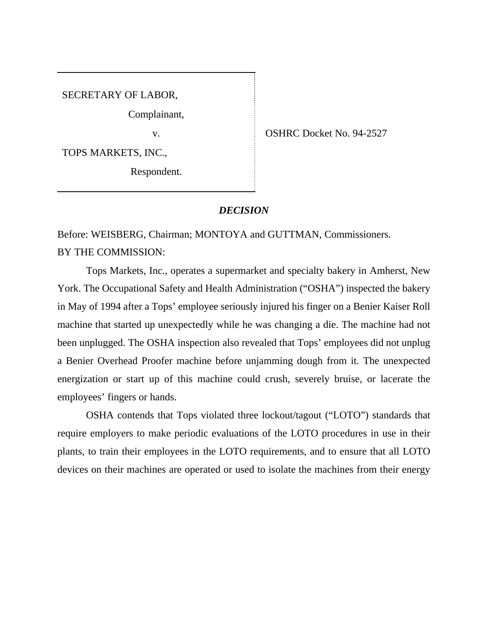SECRETARY OF LABOR,

Complainant,

TOPS MARKETS, INC.,

Respondent.

v. COSHRC Docket No. 94-2527

## *DECISION*

Before: WEISBERG, Chairman; MONTOYA and GUTTMAN, Commissioners. BY THE COMMISSION:

Tops Markets, Inc., operates a supermarket and specialty bakery in Amherst, New York. The Occupational Safety and Health Administration ("OSHA") inspected the bakery in May of 1994 after a Tops' employee seriously injured his finger on a Benier Kaiser Roll machine that started up unexpectedly while he was changing a die. The machine had not been unplugged. The OSHA inspection also revealed that Tops' employees did not unplug a Benier Overhead Proofer machine before unjamming dough from it. The unexpected energization or start up of this machine could crush, severely bruise, or lacerate the employees' fingers or hands.

OSHA contends that Tops violated three lockout/tagout ("LOTO") standards that require employers to make periodic evaluations of the LOTO procedures in use in their plants, to train their employees in the LOTO requirements, and to ensure that all LOTO devices on their machines are operated or used to isolate the machines from their energy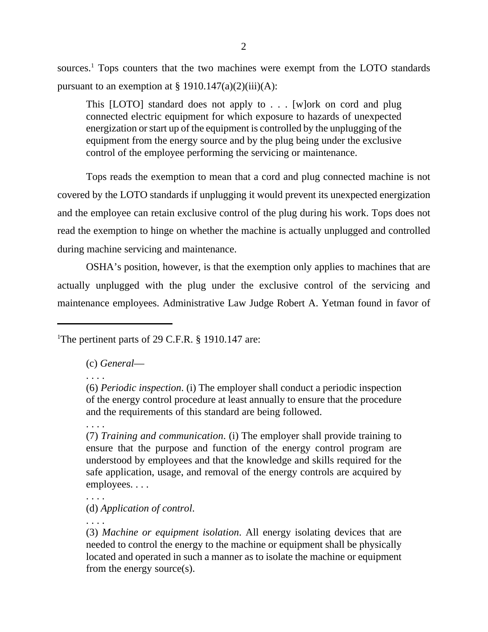sources.<sup>1</sup> Tops counters that the two machines were exempt from the LOTO standards pursuant to an exemption at  $\S 1910.147(a)(2)(iii)(A)$ :

This [LOTO] standard does not apply to . . . [w]ork on cord and plug connected electric equipment for which exposure to hazards of unexpected energization or start up of the equipment is controlled by the unplugging of the equipment from the energy source and by the plug being under the exclusive control of the employee performing the servicing or maintenance.

Tops reads the exemption to mean that a cord and plug connected machine is not covered by the LOTO standards if unplugging it would prevent its unexpected energization and the employee can retain exclusive control of the plug during his work. Tops does not read the exemption to hinge on whether the machine is actually unplugged and controlled during machine servicing and maintenance.

OSHA's position, however, is that the exemption only applies to machines that are actually unplugged with the plug under the exclusive control of the servicing and maintenance employees. Administrative Law Judge Robert A. Yetman found in favor of

<sup>1</sup>The pertinent parts of 29 C.F.R. § 1910.147 are:

(c) *General*—

. . . .

. . . .

(7) *Training and communication*. (i) The employer shall provide training to ensure that the purpose and function of the energy control program are understood by employees and that the knowledge and skills required for the safe application, usage, and removal of the energy controls are acquired by employees. . . .

(d) *Application of control*.

. . . .

. . . .

<sup>(6)</sup> *Periodic inspection*. (i) The employer shall conduct a periodic inspection of the energy control procedure at least annually to ensure that the procedure and the requirements of this standard are being followed.

<sup>(3)</sup> *Machine or equipment isolation*. All energy isolating devices that are needed to control the energy to the machine or equipment shall be physically located and operated in such a manner as to isolate the machine or equipment from the energy source(s).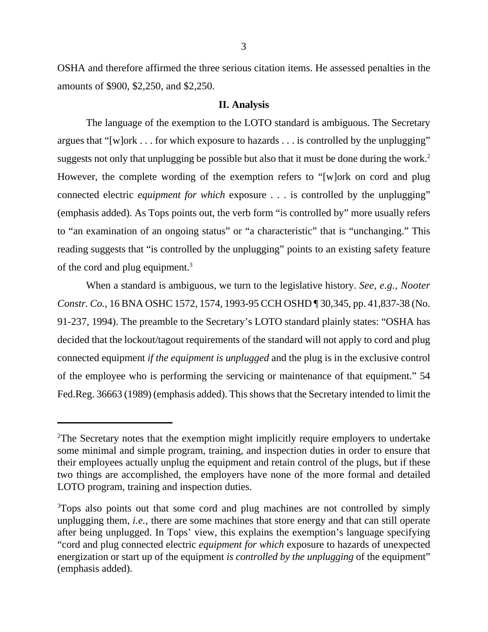OSHA and therefore affirmed the three serious citation items. He assessed penalties in the amounts of \$900, \$2,250, and \$2,250.

## **II. Analysis**

The language of the exemption to the LOTO standard is ambiguous. The Secretary argues that "[w]ork . . . for which exposure to hazards . . . is controlled by the unplugging" suggests not only that unplugging be possible but also that it must be done during the work.<sup>2</sup> However, the complete wording of the exemption refers to "[w]ork on cord and plug connected electric *equipment for which* exposure . . . is controlled by the unplugging" (emphasis added). As Tops points out, the verb form "is controlled by" more usually refers to "an examination of an ongoing status" or "a characteristic" that is "unchanging." This reading suggests that "is controlled by the unplugging" points to an existing safety feature of the cord and plug equipment.<sup>3</sup>

When a standard is ambiguous, we turn to the legislative history. *See, e.g., Nooter Constr. Co.,* 16 BNA OSHC 1572, 1574, 1993-95 CCH OSHD ¶ 30,345, pp. 41,837-38 (No. 91-237, 1994). The preamble to the Secretary's LOTO standard plainly states: "OSHA has decided that the lockout/tagout requirements of the standard will not apply to cord and plug connected equipment *if the equipment is unplugged* and the plug is in the exclusive control of the employee who is performing the servicing or maintenance of that equipment." 54 Fed.Reg. 36663 (1989) (emphasis added). This shows that the Secretary intended to limit the

<sup>&</sup>lt;sup>2</sup>The Secretary notes that the exemption might implicitly require employers to undertake some minimal and simple program, training, and inspection duties in order to ensure that their employees actually unplug the equipment and retain control of the plugs, but if these two things are accomplished, the employers have none of the more formal and detailed LOTO program, training and inspection duties.

<sup>&</sup>lt;sup>3</sup>Tops also points out that some cord and plug machines are not controlled by simply unplugging them, *i.e.,* there are some machines that store energy and that can still operate after being unplugged. In Tops' view, this explains the exemption's language specifying "cord and plug connected electric *equipment for which* exposure to hazards of unexpected energization or start up of the equipment *is controlled by the unplugging* of the equipment" (emphasis added).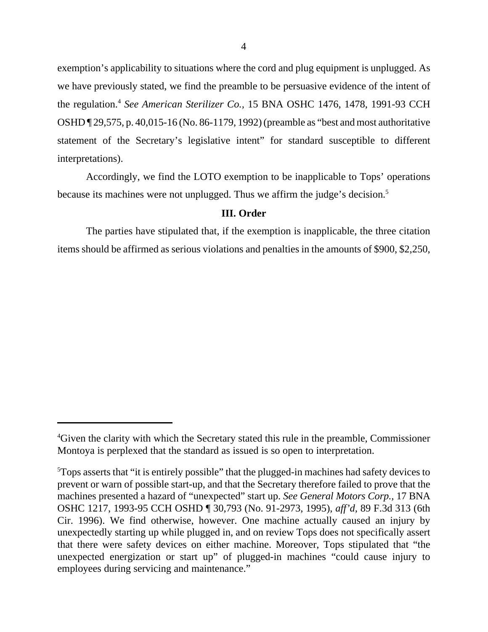exemption's applicability to situations where the cord and plug equipment is unplugged. As we have previously stated, we find the preamble to be persuasive evidence of the intent of the regulation.<sup>4</sup> *See American Sterilizer Co.,* 15 BNA OSHC 1476, 1478, 1991-93 CCH OSHD ¶ 29,575, p. 40,015-16 (No. 86-1179, 1992) (preamble as "best and most authoritative statement of the Secretary's legislative intent" for standard susceptible to different interpretations).

Accordingly, we find the LOTO exemption to be inapplicable to Tops' operations because its machines were not unplugged. Thus we affirm the judge's decision.<sup>5</sup>

## **III. Order**

The parties have stipulated that, if the exemption is inapplicable, the three citation items should be affirmed as serious violations and penalties in the amounts of \$900, \$2,250,

<sup>&</sup>lt;sup>4</sup>Given the clarity with which the Secretary stated this rule in the preamble, Commissioner Montoya is perplexed that the standard as issued is so open to interpretation.

<sup>5</sup>Tops asserts that "it is entirely possible" that the plugged-in machines had safety devices to prevent or warn of possible start-up, and that the Secretary therefore failed to prove that the machines presented a hazard of "unexpected" start up. *See General Motors Corp.,* 17 BNA OSHC 1217, 1993-95 CCH OSHD ¶ 30,793 (No. 91-2973, 1995), *aff'd,* 89 F.3d 313 (6th Cir. 1996). We find otherwise, however. One machine actually caused an injury by unexpectedly starting up while plugged in, and on review Tops does not specifically assert that there were safety devices on either machine. Moreover, Tops stipulated that "the unexpected energization or start up" of plugged-in machines "could cause injury to employees during servicing and maintenance."